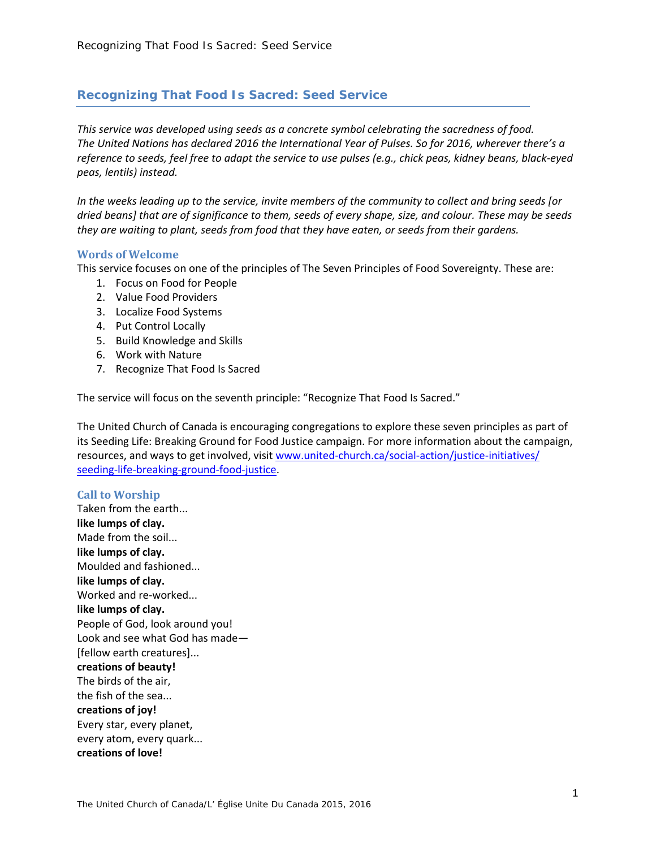# *Recognizing That Food Is Sacred: Seed Service*

*This service was developed using seeds as a concrete symbol celebrating the sacredness of food. The United Nations has declared 2016 the International Year of Pulses. So for 2016, wherever there's a reference to seeds, feel free to adapt the service to use pulses (e.g., chick peas, kidney beans, black-eyed peas, lentils) instead.*

*In the weeks leading up to the service, invite members of the community to collect and bring seeds [or dried beans] that are of significance to them, seeds of every shape, size, and colour. These may be seeds they are waiting to plant, seeds from food that they have eaten, or seeds from their gardens.*

#### **Words of Welcome**

This service focuses on one of the principles of The Seven Principles of Food Sovereignty. These are:

- 1. Focus on Food for People
- 2. Value Food Providers
- 3. Localize Food Systems
- 4. Put Control Locally
- 5. Build Knowledge and Skills
- 6. Work with Nature
- 7. Recognize That Food Is Sacred

The service will focus on the seventh principle: "Recognize That Food Is Sacred."

The United Church of Canada is encouraging congregations to explore these seven principles as part of its Seeding Life: Breaking Ground for Food Justice campaign. For more information about the campaign, resources, and ways to get involved, visit [www.united-church.ca/social-action/justice-initiatives/](http://www.united-church.ca/social-action/justice-initiatives/seeding-life-breaking-ground-food-justice) [seeding-life-breaking-ground-food-justice.](http://www.united-church.ca/social-action/justice-initiatives/seeding-life-breaking-ground-food-justice)

## **Call to Worship**

Taken from the earth... **like lumps of clay.** Made from the soil... **like lumps of clay.** Moulded and fashioned... **like lumps of clay.** Worked and re-worked... **like lumps of clay.** People of God, look around you! Look and see what God has made— [fellow earth creatures]... **creations of beauty!** The birds of the air, the fish of the sea... **creations of joy!** Every star, every planet, every atom, every quark... **creations of love!**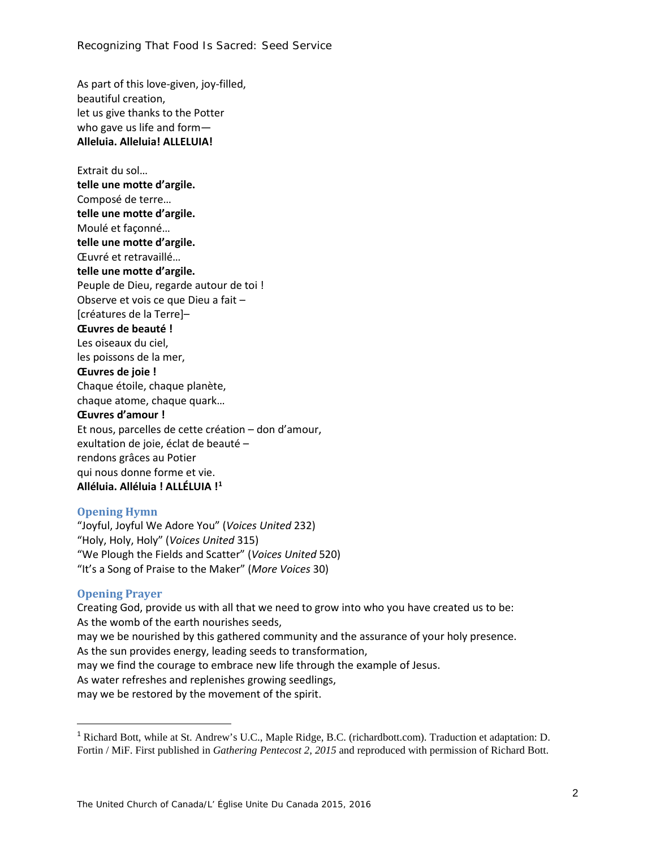As part of this love-given, joy-filled, beautiful creation, let us give thanks to the Potter who gave us life and form— **Alleluia. Alleluia! ALLELUIA!**

Extrait du sol… **telle une motte d'argile.** Composé de terre… **telle une motte d'argile.** Moulé et façonné… **telle une motte d'argile.** Œuvré et retravaillé… **telle une motte d'argile.** Peuple de Dieu, regarde autour de toi ! Observe et vois ce que Dieu a fait – [créatures de la Terre]– **Œuvres de beauté !** Les oiseaux du ciel, les poissons de la mer, **Œuvres de joie !** Chaque étoile, chaque planète, chaque atome, chaque quark… **Œuvres d'amour !** Et nous, parcelles de cette création – don d'amour, exultation de joie, éclat de beauté – rendons grâces au Potier qui nous donne forme et vie. **Alléluia. Alléluia ! ALLÉLUIA ![1](#page-1-0)**

#### **Opening Hymn**

"Joyful, Joyful We Adore You" (*Voices United* 232) "Holy, Holy, Holy" (*Voices United* 315) "We Plough the Fields and Scatter" (*Voices United* 520) "It's a Song of Praise to the Maker" (*More Voices* 30)

#### **Opening Prayer**

Creating God, provide us with all that we need to grow into who you have created us to be: As the womb of the earth nourishes seeds, may we be nourished by this gathered community and the assurance of your holy presence. As the sun provides energy, leading seeds to transformation, may we find the courage to embrace new life through the example of Jesus. As water refreshes and replenishes growing seedlings, may we be restored by the movement of the spirit.

<span id="page-1-0"></span> <sup>1</sup> Richard Bott, while at St. Andrew's U.C., Maple Ridge, B.C. (richardbott.com). Traduction et adaptation: D. Fortin / MiF. First published in *Gathering Pentecost 2, 2015* and reproduced with permission of Richard Bott.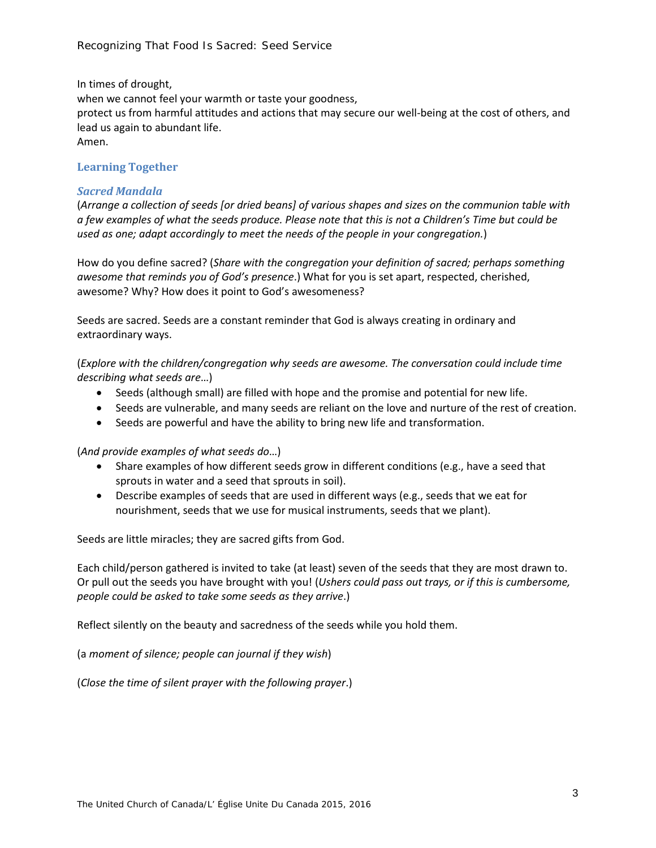In times of drought,

when we cannot feel your warmth or taste your goodness, protect us from harmful attitudes and actions that may secure our well-being at the cost of others, and lead us again to abundant life. Amen.

## **Learning Together**

## *Sacred Mandala*

(*Arrange a collection of seeds [or dried beans] of various shapes and sizes on the communion table with a few examples of what the seeds produce. Please note that this is not a Children's Time but could be used as one; adapt accordingly to meet the needs of the people in your congregation.*)

How do you define sacred? (*Share with the congregation your definition of sacred; perhaps something awesome that reminds you of God's presence*.) What for you is set apart, respected, cherished, awesome? Why? How does it point to God's awesomeness?

Seeds are sacred. Seeds are a constant reminder that God is always creating in ordinary and extraordinary ways.

(*Explore with the children/congregation why seeds are awesome. The conversation could include time describing what seeds are*…)

- Seeds (although small) are filled with hope and the promise and potential for new life.
- Seeds are vulnerable, and many seeds are reliant on the love and nurture of the rest of creation.
- Seeds are powerful and have the ability to bring new life and transformation.

## (*And provide examples of what seeds do*…)

- Share examples of how different seeds grow in different conditions (e.g., have a seed that sprouts in water and a seed that sprouts in soil).
- Describe examples of seeds that are used in different ways (e.g., seeds that we eat for nourishment, seeds that we use for musical instruments, seeds that we plant).

Seeds are little miracles; they are sacred gifts from God.

Each child/person gathered is invited to take (at least) seven of the seeds that they are most drawn to. Or pull out the seeds you have brought with you! (*Ushers could pass out trays, or if this is cumbersome, people could be asked to take some seeds as they arrive*.)

Reflect silently on the beauty and sacredness of the seeds while you hold them.

(a *moment of silence; people can journal if they wish*)

(*Close the time of silent prayer with the following prayer*.)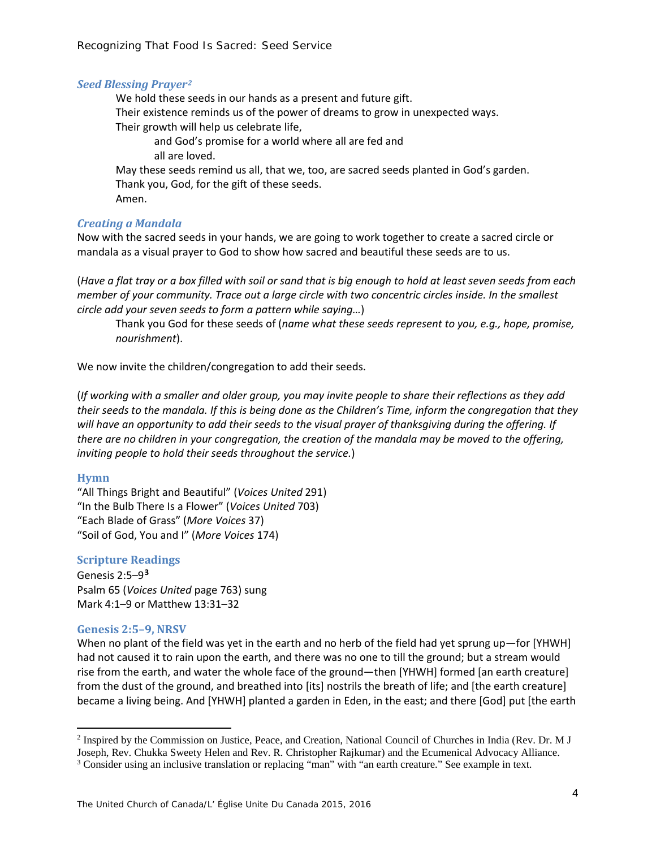#### *Seed Blessing Prayer[2](#page-3-0)*

We hold these seeds in our hands as a present and future gift. Their existence reminds us of the power of dreams to grow in unexpected ways. Their growth will help us celebrate life, and God's promise for a world where all are fed and all are loved. May these seeds remind us all, that we, too, are sacred seeds planted in God's garden. Thank you, God, for the gift of these seeds. Amen.

#### *Creating a Mandala*

Now with the sacred seeds in your hands, we are going to work together to create a sacred circle or mandala as a visual prayer to God to show how sacred and beautiful these seeds are to us.

(*Have a flat tray or a box filled with soil or sand that is big enough to hold at least seven seeds from each member of your community. Trace out a large circle with two concentric circles inside. In the smallest circle add your seven seeds to form a pattern while saying…*)

Thank you God for these seeds of (*name what these seeds represent to you, e.g., hope, promise, nourishment*).

We now invite the children/congregation to add their seeds.

(*If working with a smaller and older group, you may invite people to share their reflections as they add their seeds to the mandala. If this is being done as the Children's Time, inform the congregation that they will have an opportunity to add their seeds to the visual prayer of thanksgiving during the offering. If there are no children in your congregation, the creation of the mandala may be moved to the offering, inviting people to hold their seeds throughout the service.*)

#### **Hymn**

 $\overline{\phantom{a}}$ 

"All Things Bright and Beautiful" (*Voices United* 291) "In the Bulb There Is a Flower" (*Voices United* 703) "Each Blade of Grass" (*More Voices* 37) "Soil of God, You and I" (*More Voices* 174)

## **Scripture Readings**

Genesis 2:5–9**[3](#page-3-1)** Psalm 65 (*Voices United* page 763) sung Mark 4:1–9 or Matthew 13:31–32

#### **Genesis 2:5–9, NRSV**

When no plant of the field was yet in the earth and no herb of the field had yet sprung up—for [YHWH] had not caused it to rain upon the earth, and there was no one to till the ground; but a stream would rise from the earth, and water the whole face of the ground—then [YHWH] formed [an earth creature] from the dust of the ground, and breathed into [its] nostrils the breath of life; and [the earth creature] became a living being. And [YHWH] planted a garden in Eden, in the east; and there [God] put [the earth

<span id="page-3-0"></span><sup>2</sup> Inspired by the Commission on Justice, Peace, and Creation, National Council of Churches in India (Rev. Dr. M J Joseph, Rev. Chukka Sweety Helen and Rev. R. Christopher Rajkumar) and the Ecumenical Advocacy Alliance.

<span id="page-3-1"></span><sup>3</sup> Consider using an inclusive translation or replacing "man" with "an earth creature." See example in text.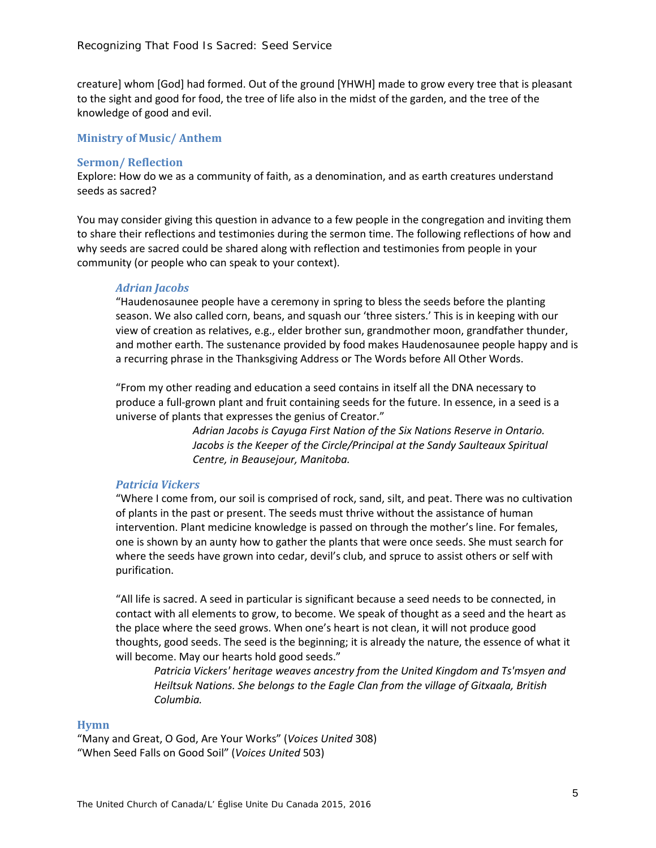creature] whom [God] had formed. Out of the ground [YHWH] made to grow every tree that is pleasant to the sight and good for food, the tree of life also in the midst of the garden, and the tree of the knowledge of good and evil.

#### **Ministry of Music/ Anthem**

#### **Sermon/ Reflection**

Explore: How do we as a community of faith, as a denomination, and as earth creatures understand seeds as sacred?

You may consider giving this question in advance to a few people in the congregation and inviting them to share their reflections and testimonies during the sermon time. The following reflections of how and why seeds are sacred could be shared along with reflection and testimonies from people in your community (or people who can speak to your context).

#### *Adrian Jacobs*

"Haudenosaunee people have a ceremony in spring to bless the seeds before the planting season. We also called corn, beans, and squash our 'three sisters.' This is in keeping with our view of creation as relatives, e.g., elder brother sun, grandmother moon, grandfather thunder, and mother earth. The sustenance provided by food makes Haudenosaunee people happy and is a recurring phrase in the Thanksgiving Address or The Words before All Other Words.

"From my other reading and education a seed contains in itself all the DNA necessary to produce a full-grown plant and fruit containing seeds for the future. In essence, in a seed is a universe of plants that expresses the genius of Creator."

> *Adrian Jacobs is Cayuga First Nation of the Six Nations Reserve in Ontario.*  Jacobs is the Keeper of the Circle/Principal at the Sandy Saulteaux Spiritual *Centre, in Beausejour, Manitoba.*

#### *Patricia Vickers*

"Where I come from, our soil is comprised of rock, sand, silt, and peat. There was no cultivation of plants in the past or present. The seeds must thrive without the assistance of human intervention. Plant medicine knowledge is passed on through the mother's line. For females, one is shown by an aunty how to gather the plants that were once seeds. She must search for where the seeds have grown into cedar, devil's club, and spruce to assist others or self with purification.

"All life is sacred. A seed in particular is significant because a seed needs to be connected, in contact with all elements to grow, to become. We speak of thought as a seed and the heart as the place where the seed grows. When one's heart is not clean, it will not produce good thoughts, good seeds. The seed is the beginning; it is already the nature, the essence of what it will become. May our hearts hold good seeds."

*Patricia Vickers' heritage weaves ancestry from the United Kingdom and Ts'msyen and Heiltsuk Nations. She belongs to the Eagle Clan from the village of Gitxaala, British Columbia.*

## **Hymn**

"Many and Great, O God, Are Your Works" (*Voices United* 308) "When Seed Falls on Good Soil" (*Voices United* 503)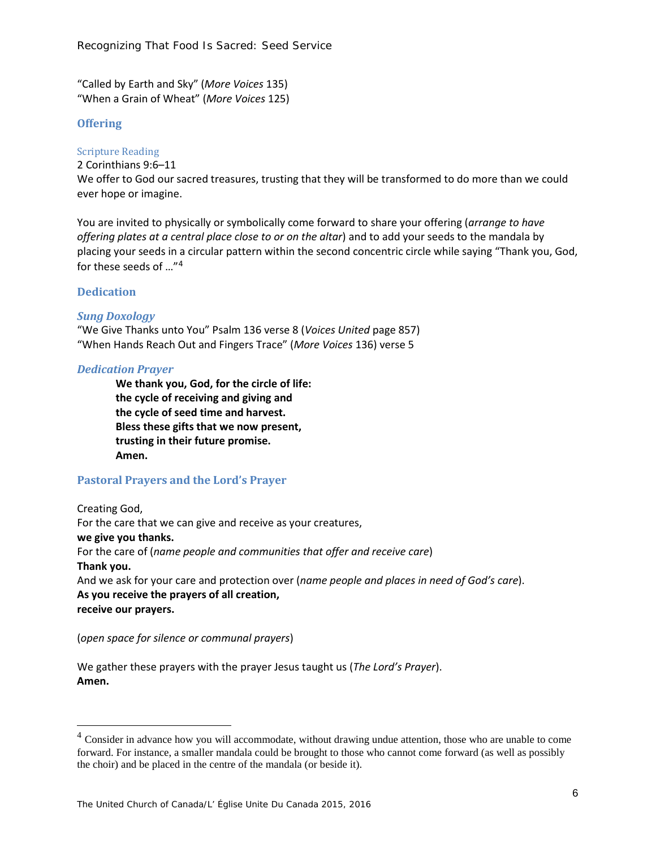"Called by Earth and Sky" (*More Voices* 135) "When a Grain of Wheat" (*More Voices* 125)

## **Offering**

Scripture Reading

2 Corinthians 9:6–11

We offer to God our sacred treasures, trusting that they will be transformed to do more than we could ever hope or imagine.

You are invited to physically or symbolically come forward to share your offering (*arrange to have offering plates at a central place close to or on the altar*) and to add your seeds to the mandala by placing your seeds in a circular pattern within the second concentric circle while saying "Thank you, God, for these seeds of …"[4](#page-5-0)

## **Dedication**

 $\overline{\phantom{a}}$ 

## *Sung Doxology*

"We Give Thanks unto You" Psalm 136 verse 8 (*Voices United* page 857) "When Hands Reach Out and Fingers Trace" (*More Voices* 136) verse 5

#### *Dedication Prayer*

**We thank you, God, for the circle of life: the cycle of receiving and giving and the cycle of seed time and harvest. Bless these gifts that we now present, trusting in their future promise. Amen.**

# **Pastoral Prayers and the Lord's Prayer**

Creating God, For the care that we can give and receive as your creatures, **we give you thanks.** For the care of (*name people and communities that offer and receive care*) **Thank you.** And we ask for your care and protection over (*name people and places in need of God's care*). **As you receive the prayers of all creation, receive our prayers.**

(*open space for silence or communal prayers*)

We gather these prayers with the prayer Jesus taught us (*The Lord's Prayer*). **Amen.**

<span id="page-5-0"></span><sup>&</sup>lt;sup>4</sup> Consider in advance how you will accommodate, without drawing undue attention, those who are unable to come forward. For instance, a smaller mandala could be brought to those who cannot come forward (as well as possibly the choir) and be placed in the centre of the mandala (or beside it).